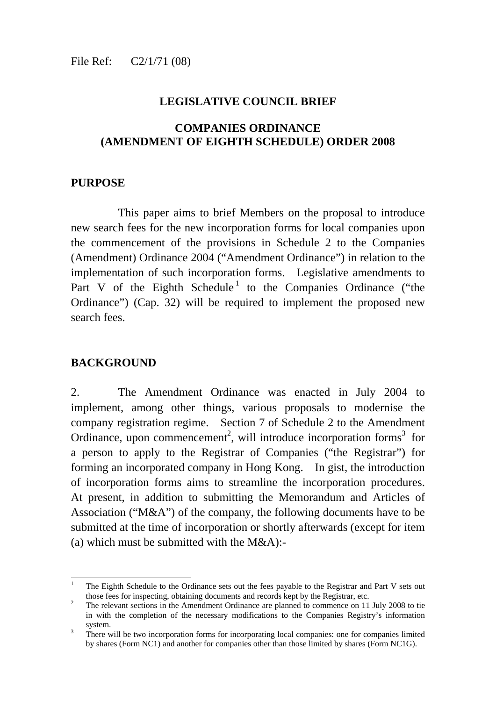#### **LEGISLATIVE COUNCIL BRIEF**

#### **COMPANIES ORDINANCE (AMENDMENT OF EIGHTH SCHEDULE) ORDER 2008**

#### **PURPOSE**

 This paper aims to brief Members on the proposal to introduce new search fees for the new incorporation forms for local companies upon the commencement of the provisions in Schedule 2 to the Companies (Amendment) Ordinance 2004 ("Amendment Ordinance") in relation to the implementation of such incorporation forms. Legislative amendments to Part V of the Eighth Schedule<sup>1</sup> to the Companies Ordinance ("the Ordinance") (Cap. 32) will be required to implement the proposed new search fees.

#### **BACKGROUND**

-

2. The Amendment Ordinance was enacted in July 2004 to implement, among other things, various proposals to modernise the company registration regime. Section 7 of Schedule 2 to the Amendment Ordinance, upon commencement<sup>2</sup>, will introduce incorporation forms<sup>3</sup> for a person to apply to the Registrar of Companies ("the Registrar") for forming an incorporated company in Hong Kong. In gist, the introduction of incorporation forms aims to streamline the incorporation procedures. At present, in addition to submitting the Memorandum and Articles of Association ("M&A") of the company, the following documents have to be submitted at the time of incorporation or shortly afterwards (except for item (a) which must be submitted with the  $M&A$ ):-

<sup>1</sup> The Eighth Schedule to the Ordinance sets out the fees payable to the Registrar and Part V sets out those fees for inspecting, obtaining documents and records kept by the Registrar, etc.

The relevant sections in the Amendment Ordinance are planned to commence on 11 July 2008 to tie in with the completion of the necessary modifications to the Companies Registry's information system.

There will be two incorporation forms for incorporating local companies: one for companies limited by shares (Form NC1) and another for companies other than those limited by shares (Form NC1G).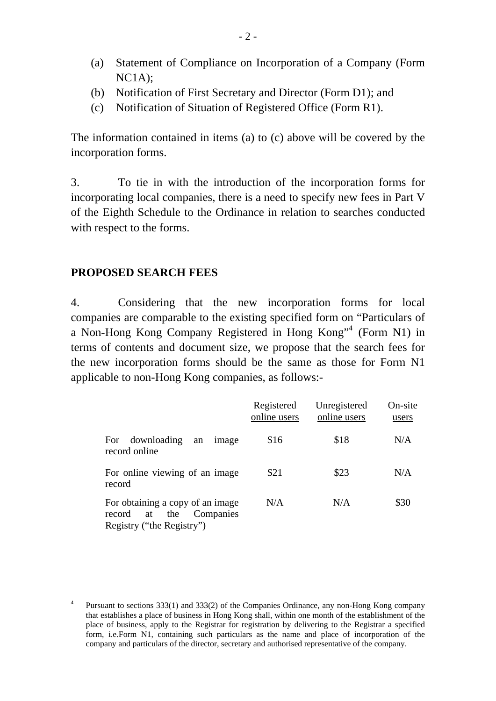- (a) Statement of Compliance on Incorporation of a Company (Form NC1A);
- (b) Notification of First Secretary and Director (Form D1); and
- (c) Notification of Situation of Registered Office (Form R1).

The information contained in items (a) to (c) above will be covered by the incorporation forms.

3. To tie in with the introduction of the incorporation forms for incorporating local companies, there is a need to specify new fees in Part V of the Eighth Schedule to the Ordinance in relation to searches conducted with respect to the forms.

# **PROPOSED SEARCH FEES**

4. Considering that the new incorporation forms for local companies are comparable to the existing specified form on "Particulars of a Non-Hong Kong Company Registered in Hong Kong"<sup>4</sup> (Form N1) in terms of contents and document size, we propose that the search fees for the new incorporation forms should be the same as those for Form N1 applicable to non-Hong Kong companies, as follows:-

|                                                                                                   | Registered<br>online users | Unregistered<br>online users | On-site<br>users |
|---------------------------------------------------------------------------------------------------|----------------------------|------------------------------|------------------|
| downloading<br>For<br>image<br>an<br>record online                                                | \$16                       | \$18                         | N/A              |
| For online viewing of an image<br>record                                                          | \$21                       | \$23                         | N/A              |
| For obtaining a copy of an image<br>Companies<br>the<br>record<br>at<br>Registry ("the Registry") | N/A                        | N/A                          | \$30             |

<sup>-</sup>4 Pursuant to sections 333(1) and 333(2) of the Companies Ordinance, any non-Hong Kong company that establishes a place of business in Hong Kong shall, within one month of the establishment of the place of business, apply to the Registrar for registration by delivering to the Registrar a specified form, i.e.Form N1, containing such particulars as the name and place of incorporation of the company and particulars of the director, secretary and authorised representative of the company.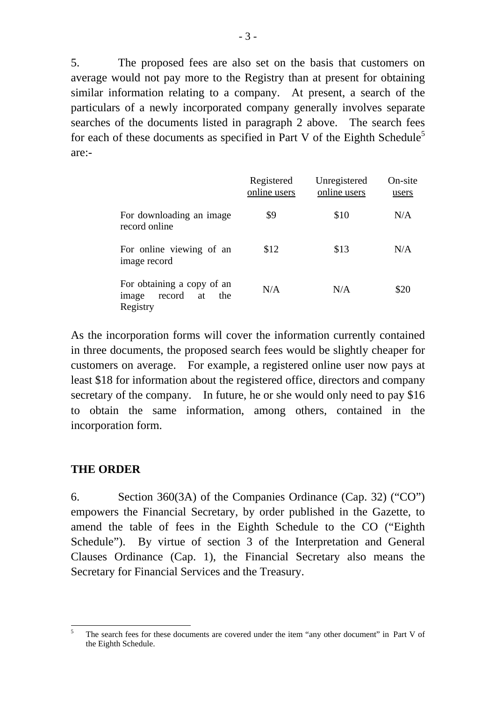5. The proposed fees are also set on the basis that customers on average would not pay more to the Registry than at present for obtaining similar information relating to a company. At present, a search of the particulars of a newly incorporated company generally involves separate searches of the documents listed in paragraph 2 above. The search fees for each of these documents as specified in Part V of the Eighth Schedule<sup>5</sup> are:-

|                                                                        | Registered<br>online users | Unregistered<br>online users | On-site<br>users |
|------------------------------------------------------------------------|----------------------------|------------------------------|------------------|
| For downloading an image<br>record online                              | \$9                        | \$10                         | N/A              |
| For online viewing of an<br>image record                               | \$12                       | \$13                         | N/A              |
| For obtaining a copy of an<br>record<br>the<br>image<br>at<br>Registry | N/A                        | N/A                          | \$20             |

As the incorporation forms will cover the information currently contained in three documents, the proposed search fees would be slightly cheaper for customers on average. For example, a registered online user now pays at least \$18 for information about the registered office, directors and company secretary of the company. In future, he or she would only need to pay \$16 to obtain the same information, among others, contained in the incorporation form.

#### **THE ORDER**

6. Section 360(3A) of the Companies Ordinance (Cap. 32) ("CO") empowers the Financial Secretary, by order published in the Gazette, to amend the table of fees in the Eighth Schedule to the CO ("Eighth Schedule"). By virtue of section 3 of the Interpretation and General Clauses Ordinance (Cap. 1), the Financial Secretary also means the Secretary for Financial Services and the Treasury.

<sup>-</sup>5 The search fees for these documents are covered under the item "any other document" in Part V of the Eighth Schedule.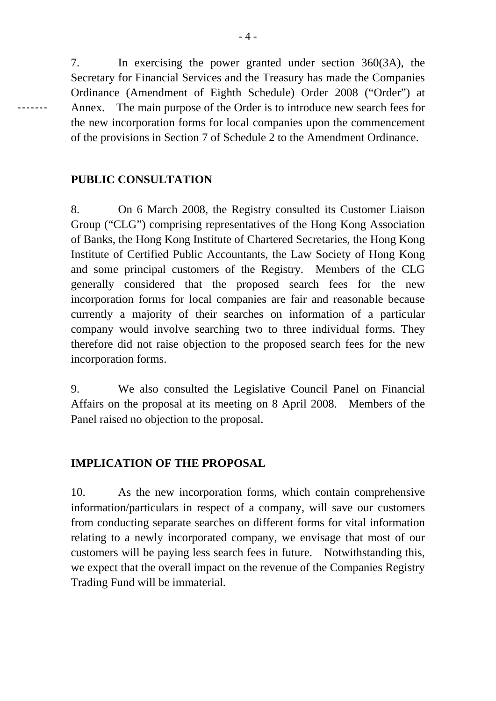7. In exercising the power granted under section 360(3A), the Secretary for Financial Services and the Treasury has made the Companies Ordinance (Amendment of Eighth Schedule) Order 2008 ("Order") at Annex. The main purpose of the Order is to introduce new search fees for the new incorporation forms for local companies upon the commencement of the provisions in Section 7 of Schedule 2 to the Amendment Ordinance.

# **PUBLIC CONSULTATION**

8. On 6 March 2008, the Registry consulted its Customer Liaison Group ("CLG") comprising representatives of the Hong Kong Association of Banks, the Hong Kong Institute of Chartered Secretaries, the Hong Kong Institute of Certified Public Accountants, the Law Society of Hong Kong and some principal customers of the Registry. Members of the CLG generally considered that the proposed search fees for the new incorporation forms for local companies are fair and reasonable because currently a majority of their searches on information of a particular company would involve searching two to three individual forms. They therefore did not raise objection to the proposed search fees for the new incorporation forms.

9. We also consulted the Legislative Council Panel on Financial Affairs on the proposal at its meeting on 8 April 2008. Members of the Panel raised no objection to the proposal.

# **IMPLICATION OF THE PROPOSAL**

10. As the new incorporation forms, which contain comprehensive information/particulars in respect of a company, will save our customers from conducting separate searches on different forms for vital information relating to a newly incorporated company, we envisage that most of our customers will be paying less search fees in future. Notwithstanding this, we expect that the overall impact on the revenue of the Companies Registry Trading Fund will be immaterial.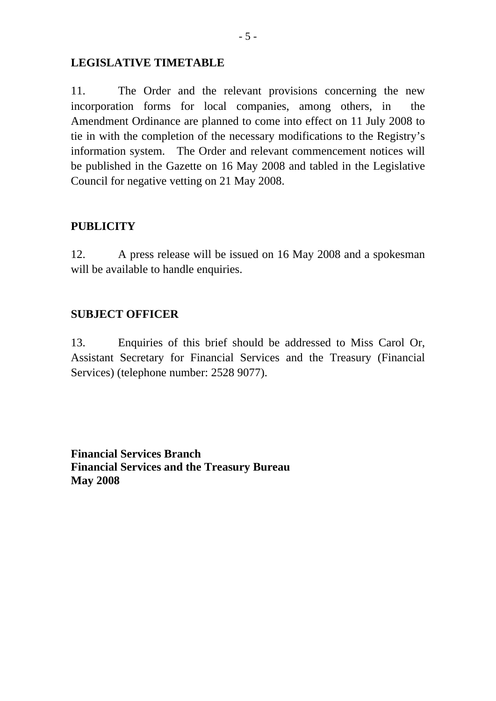#### **LEGISLATIVE TIMETABLE**

11. The Order and the relevant provisions concerning the new incorporation forms for local companies, among others, in the Amendment Ordinance are planned to come into effect on 11 July 2008 to tie in with the completion of the necessary modifications to the Registry's information system. The Order and relevant commencement notices will be published in the Gazette on 16 May 2008 and tabled in the Legislative Council for negative vetting on 21 May 2008.

## **PUBLICITY**

12. A press release will be issued on 16 May 2008 and a spokesman will be available to handle enquiries.

## **SUBJECT OFFICER**

13. Enquiries of this brief should be addressed to Miss Carol Or, Assistant Secretary for Financial Services and the Treasury (Financial Services) (telephone number: 2528 9077).

**Financial Services Branch Financial Services and the Treasury Bureau May 2008**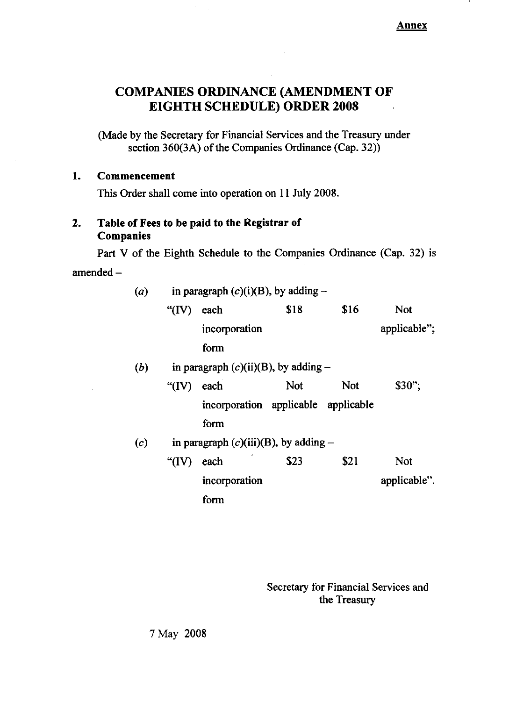Annex

# **COMPANIES ORDINANCE (AMENDMENT OF EIGHTH SCHEDULE) ORDER 2008**

(Made by the Secretary for Financial Services and the Treasury under section 360(3A) of the Companies Ordinance (Cap. 32))

#### $\mathbf{1}$ . Commencement

This Order shall come into operation on 11 July 2008.

#### Table of Fees to be paid to the Registrar of  $2.$ Companies

Part V of the Eighth Schedule to the Companies Ordinance (Cap. 32) is amended  $-$ 

| (a) | in paragraph $(c)(i)(B)$ , by adding –   |                                     |            |            |              |  |
|-----|------------------------------------------|-------------------------------------|------------|------------|--------------|--|
|     | " $(IV)$                                 | each                                | \$18       | \$16       | <b>Not</b>   |  |
|     |                                          | incorporation                       |            |            | applicable"; |  |
|     |                                          | form                                |            |            |              |  |
| (b) | in paragraph $(c)(ii)(B)$ , by adding –  |                                     |            |            |              |  |
|     | " $(IV)$                                 | each                                | <b>Not</b> | <b>Not</b> | $$30$ ":     |  |
|     |                                          | incorporation applicable applicable |            |            |              |  |
|     |                                          | form                                |            |            |              |  |
| (c) | in paragraph $(c)(iii)(B)$ , by adding - |                                     |            |            |              |  |
|     | " $(IV)$                                 | each                                | \$23       | \$21       | <b>Not</b>   |  |
|     |                                          | incorporation                       |            |            | applicable". |  |
|     |                                          | form                                |            |            |              |  |

Secretary for Financial Services and the Treasury